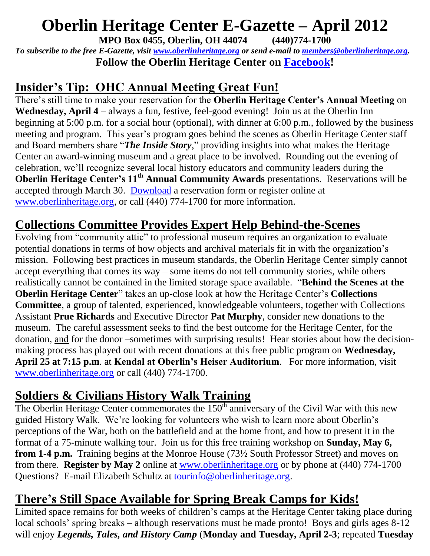# **Oberlin Heritage Center E-Gazette – April 2012**

**MPO Box 0455, Oberlin, OH 44074 (440)774-1700**

*To subscribe to the free E-Gazette, visit [www.oberlinheritage.org](http://www.oberlinheritage.org/) or send e-mail to [members@oberlinheritage.org.](mailto:members@oberlinheritage.org)* **Follow the Oberlin Heritage Center on [Facebook!](http://www.facebook.com/pages/Oberlin-Heritage-Center/67803550438?nctrct=1238704601085)**

# **Insider's Tip: OHC Annual Meeting Great Fun!**

There's still time to make your reservation for the **Oberlin Heritage Center's Annual Meeting** on **Wednesday, April 4 –** always a fun, festive, feel-good evening! Join us at the Oberlin Inn beginning at 5:00 p.m. for a social hour (optional), with dinner at 6:00 p.m., followed by the business meeting and program. This year's program goes behind the scenes as Oberlin Heritage Center staff and Board members share "*The Inside Story*," providing insights into what makes the Heritage Center an award-winning museum and a great place to be involved. Rounding out the evening of celebration, we'll recognize several local history educators and community leaders during the **Oberlin Heritage Center's 11th Annual Community Awards** presentations. Reservations will be accepted through March 30. [Download](http://www.oberlinheritage.org/files/whatsnew/attachments/2012_April_4_Annual_Meeting_flyer.pdf) a reservation form or register online at [www.oberlinheritage.org,](http://www.oberlinheritage.org/) or call (440) 774-1700 for more information.

#### **Collections Committee Provides Expert Help Behind-the-Scenes**

Evolving from "community attic" to professional museum requires an organization to evaluate potential donations in terms of how objects and archival materials fit in with the organization's mission. Following best practices in museum standards, the Oberlin Heritage Center simply cannot accept everything that comes its way – some items do not tell community stories, while others realistically cannot be contained in the limited storage space available. "**Behind the Scenes at the Oberlin Heritage Center**" takes an up-close look at how the Heritage Center's **Collections Committee**, a group of talented, experienced, knowledgeable volunteers, together with Collections Assistant **Prue Richards** and Executive Director **Pat Murphy**, consider new donations to the museum. The careful assessment seeks to find the best outcome for the Heritage Center, for the donation, and for the donor –sometimes with surprising results! Hear stories about how the decisionmaking process has played out with recent donations at this free public program on **Wednesday, April 25 at 7:15 p.m**. at **Kendal at Oberlin's Heiser Auditorium**. For more information, visit [www.oberlinheritage.org](http://www.oberlinheritage.org/) or call (440) 774-1700.

# **Soldiers & Civilians History Walk Training**

The Oberlin Heritage Center commemorates the  $150<sup>th</sup>$  anniversary of the Civil War with this new guided History Walk. We're looking for volunteers who wish to learn more about Oberlin's perceptions of the War, both on the battlefield and at the home front, and how to present it in the format of a 75-minute walking tour. Join us for this free training workshop on **Sunday, May 6, from 1-4 p.m.** Training begins at the Monroe House (73½ South Professor Street) and moves on from there. **Register by May 2** online at [www.oberlinheritage.org](http://www.oberlinheritage.org/) or by phone at (440) 774-1700 Questions? E-mail Elizabeth Schultz at [tourinfo@oberlinheritage.org.](mailto:tourinfo@oberlinheritage.org)

#### **There's Still Space Available for Spring Break Camps for Kids!**

Limited space remains for both weeks of children's camps at the Heritage Center taking place during local schools' spring breaks – although reservations must be made pronto! Boys and girls ages 8-12 will enjoy *Legends, Tales, and History Camp* (**Monday and Tuesday, April 2-3**; repeated **Tuesday**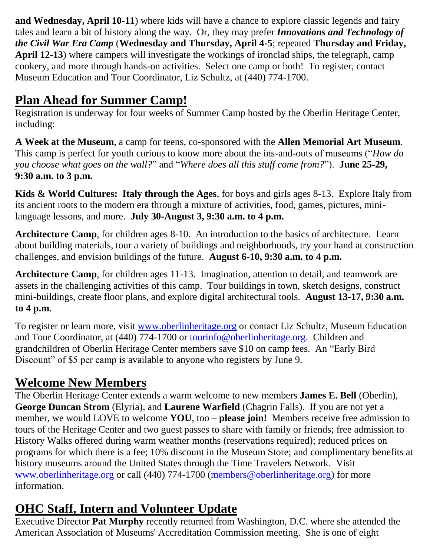**and Wednesday, April 10-11**) where kids will have a chance to explore classic legends and fairy tales and learn a bit of history along the way. Or, they may prefer *Innovations and Technology of the Civil War Era Camp* (**Wednesday and Thursday, April 4-5**; repeated **Thursday and Friday, April 12-13**) where campers will investigate the workings of ironclad ships, the telegraph, camp cookery, and more through hands-on activities. Select one camp or both! To register, contact Museum Education and Tour Coordinator, Liz Schultz, at (440) 774-1700.

# **Plan Ahead for Summer Camp!**

Registration is underway for four weeks of Summer Camp hosted by the Oberlin Heritage Center, including:

**A Week at the Museum**, a camp for teens, co-sponsored with the **Allen Memorial Art Museum**. This camp is perfect for youth curious to know more about the ins-and-outs of museums ("*How do you choose what goes on the wall?*" and "*Where does all this stuff come from?*"). **June 25-29, 9:30 a.m. to 3 p.m.**

**Kids & World Cultures: Italy through the Ages**, for boys and girls ages 8-13. Explore Italy from its ancient roots to the modern era through a mixture of activities, food, games, pictures, minilanguage lessons, and more. **July 30-August 3, 9:30 a.m. to 4 p.m.**

**Architecture Camp**, for children ages 8-10. An introduction to the basics of architecture. Learn about building materials, tour a variety of buildings and neighborhoods, try your hand at construction challenges, and envision buildings of the future. **August 6-10, 9:30 a.m. to 4 p.m.**

**Architecture Camp**, for children ages 11-13. Imagination, attention to detail, and teamwork are assets in the challenging activities of this camp. Tour buildings in town, sketch designs, construct mini-buildings, create floor plans, and explore digital architectural tools. **August 13-17, 9:30 a.m. to 4 p.m.**

To register or learn more, visit [www.oberlinheritage.org](http://www.oberlinheritage.org/) or contact Liz Schultz, Museum Education and Tour Coordinator, at (440) 774-1700 or [tourinfo@oberlinheritage.org.](mailto:tourinfo@oberlinheritage.org) Children and grandchildren of Oberlin Heritage Center members save \$10 on camp fees. An "Early Bird Discount" of \$5 per camp is available to anyone who registers by June 9.

# **Welcome New Members**

The Oberlin Heritage Center extends a warm welcome to new members **James E. Bell** (Oberlin), **George Duncan Strom** (Elyria), and **Laurene Warfield** (Chagrin Falls). If you are not yet a member, we would LOVE to welcome **YOU**, too – **please join!** Members receive free admission to tours of the Heritage Center and two guest passes to share with family or friends; free admission to History Walks offered during warm weather months (reservations required); reduced prices on programs for which there is a fee; 10% discount in the Museum Store; and complimentary benefits at history museums around the United States through the Time Travelers Network. Visit [www.oberlinheritage.org](http://www.oberlinheritage.org/) or call (440) 774-1700 [\(members@oberlinheritage.org\)](mailto:members@oberlinheritage.org) for more information.

# **OHC Staff, Intern and Volunteer Update**

Executive Director **Pat Murphy** recently returned from Washington, D.C. where she attended the American Association of Museums' Accreditation Commission meeting. She is one of eight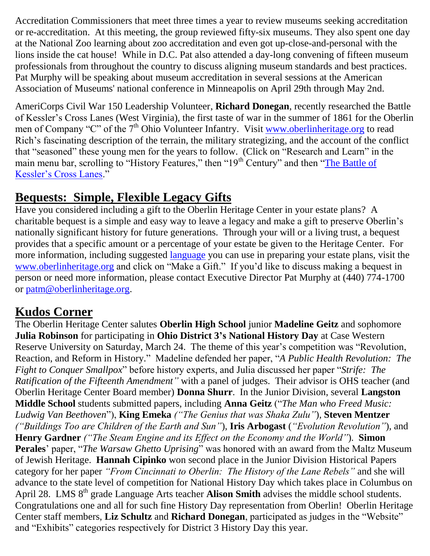Accreditation Commissioners that meet three times a year to review museums seeking accreditation or re-accreditation. At this meeting, the group reviewed fifty-six museums. They also spent one day at the National Zoo learning about zoo accreditation and even got up-close-and-personal with the lions inside the cat house! While in D.C. Pat also attended a day-long convening of fifteen museum professionals from throughout the country to discuss aligning museum standards and best practices. Pat Murphy will be speaking about museum accreditation in several sessions at the American Association of Museums' national conference in Minneapolis on April 29th through May 2nd.

AmeriCorps Civil War 150 Leadership Volunteer, **Richard Donegan**, recently researched the Battle of Kessler's Cross Lanes (West Virginia), the first taste of war in the summer of 1861 for the Oberlin men of Company "C" of the 7<sup>th</sup> Ohio Volunteer Infantry. Visit [www.oberlinheritage.org](http://www.oberlinheritage.org/) to read Rich's fascinating description of the terrain, the military strategizing, and the account of the conflict that "seasoned" these young men for the years to follow. (Click on "Research and Learn" in the main menu bar, scrolling to "History Features," then "19<sup>th</sup> Century" and then "The Battle of [Kessler's Cross Lanes.](http://www.oberlinheritage.org/researchlearn/kesslers)"

#### **Bequests: Simple, Flexible Legacy Gifts**

Have you considered including a gift to the Oberlin Heritage Center in your estate plans? A charitable bequest is a simple and easy way to leave a legacy and make a gift to preserve Oberlin's nationally significant history for future generations. Through your will or a living trust, a bequest provides that a specific amount or a percentage of your estate be given to the Heritage Center. For more information, including suggested [language](http://www.oberlinheritage.org/getinvolved/language) you can use in preparing your estate plans, visit the [www.oberlinheritage.org](http://www.oberlinheritage.org/) and click on "Make a Gift." If you'd like to discuss making a bequest in person or need more information, please contact Executive Director Pat Murphy at (440) 774-1700 or [patm@oberlinheritage.org.](mailto:patm@oberlinheritage.org)

# **Kudos Corner**

The Oberlin Heritage Center salutes **Oberlin High School** junior **Madeline Geitz** and sophomore **Julia Robinson** for participating in **Ohio District 3's National History Day** at Case Western Reserve University on Saturday, March 24. The theme of this year's competition was "Revolution, Reaction, and Reform in History." Madeline defended her paper, "*A Public Health Revolution: The Fight to Conquer Smallpox*" before history experts, and Julia discussed her paper "*Strife: The Ratification of the Fifteenth Amendment"* with a panel of judges. Their advisor is OHS teacher (and Oberlin Heritage Center Board member) **Donna Shurr**. In the Junior Division, several **Langston Middle School** students submitted papers, including **Anna Geitz** ("*The Man who Freed Music: Ludwig Van Beethoven*"), **King Emeka** *("The Genius that was Shaka Zulu"*), **Steven Mentzer** *("Buildings Too are Children of the Earth and Sun"*), **Iris Arbogast** (*"Evolution Revolution"*), and **Henry Gardner** *("The Steam Engine and its Effect on the Economy and the World"*). **Simon Perales**' paper, "*The Warsaw Ghetto Uprising*" was honored with an award from the Maltz Museum of Jewish Heritage. **Hannah Cipinko** won second place in the Junior Division Historical Papers category for her paper *"From Cincinnati to Oberlin: The History of the Lane Rebels"* and she will advance to the state level of competition for National History Day which takes place in Columbus on April 28. LMS 8<sup>th</sup> grade Language Arts teacher **Alison Smith** advises the middle school students. Congratulations one and all for such fine History Day representation from Oberlin! Oberlin Heritage Center staff members, **Liz Schultz** and **Richard Donegan**, participated as judges in the "Website" and "Exhibits" categories respectively for District 3 History Day this year.